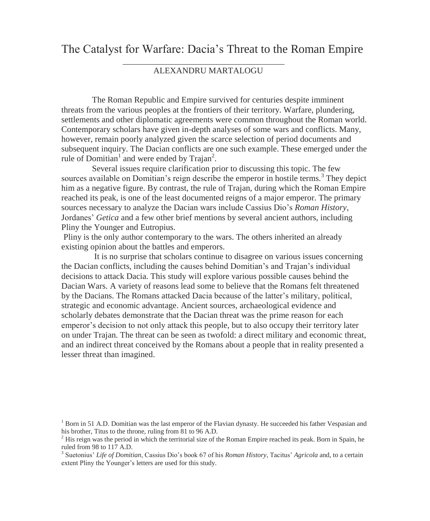# The Catalyst for Warfare: Dacia's Threat to the Roman Empire

# \_\_\_\_\_\_\_\_\_\_\_\_\_\_\_\_\_\_\_\_\_\_\_\_\_\_\_\_\_\_\_\_\_\_\_\_\_\_ ALEXANDRU MARTALOGU

The Roman Republic and Empire survived for centuries despite imminent threats from the various peoples at the frontiers of their territory. Warfare, plundering, settlements and other diplomatic agreements were common throughout the Roman world. Contemporary scholars have given in-depth analyses of some wars and conflicts. Many, however, remain poorly analyzed given the scarce selection of period documents and subsequent inquiry. The Dacian conflicts are one such example. These emerged under the rule of Domitian<sup>1</sup> and were ended by Trajan<sup>2</sup>.

Several issues require clarification prior to discussing this topic. The few sources available on Domitian's reign describe the emperor in hostile terms.<sup>3</sup> They depict him as a negative figure. By contrast, the rule of Trajan, during which the Roman Empire reached its peak, is one of the least documented reigns of a major emperor. The primary sources necessary to analyze the Dacian wars include Cassius Dio's *Roman History*, Jordanes' *Getica* and a few other brief mentions by several ancient authors, including Pliny the Younger and Eutropius.

Pliny is the only author contemporary to the wars. The others inherited an already existing opinion about the battles and emperors.

It is no surprise that scholars continue to disagree on various issues concerning the Dacian conflicts, including the causes behind Domitian's and Trajan's individual decisions to attack Dacia. This study will explore various possible causes behind the Dacian Wars. A variety of reasons lead some to believe that the Romans felt threatened by the Dacians. The Romans attacked Dacia because of the latter's military, political, strategic and economic advantage. Ancient sources, archaeological evidence and scholarly debates demonstrate that the Dacian threat was the prime reason for each emperor's decision to not only attack this people, but to also occupy their territory later on under Trajan. The threat can be seen as twofold: a direct military and economic threat, and an indirect threat conceived by the Romans about a people that in reality presented a lesser threat than imagined.

<sup>&</sup>lt;sup>1</sup> Born in 51 A.D. Domitian was the last emperor of the Flavian dynasty. He succeeded his father Vespasian and his brother, Titus to the throne, ruling from 81 to 96 A.D.

 $<sup>2</sup>$  His reign was the period in which the territorial size of the Roman Empire reached its peak. Born in Spain, he</sup> ruled from 98 to 117 A.D.

<sup>3</sup> Suetonius' *Life of Domitian*, Cassius Dio's book 67 of his *Roman History*, Tacitus' *Agricola* and, to a certain extent Pliny the Younger's letters are used for this study.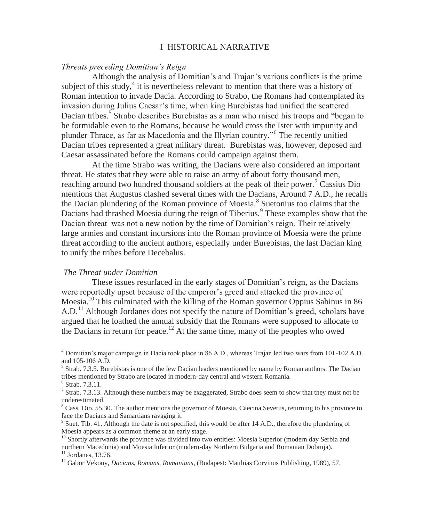# I HISTORICAL NARRATIVE

### *Threats preceding Domitian's Reign*

Although the analysis of Domitian's and Trajan's various conflicts is the prime subject of this study, $4$  it is nevertheless relevant to mention that there was a history of Roman intention to invade Dacia. According to Strabo, the Romans had contemplated its invasion during Julius Caesar's time, when king Burebistas had unified the scattered Dacian tribes.<sup>5</sup> Strabo describes Burebistas as a man who raised his troops and "began to be formidable even to the Romans, because he would cross the Ister with impunity and plunder Thrace, as far as Macedonia and the Illyrian country."<sup>6</sup> The recently unified Dacian tribes represented a great military threat. Burebistas was, however, deposed and Caesar assassinated before the Romans could campaign against them.

At the time Strabo was writing, the Dacians were also considered an important threat. He states that they were able to raise an army of about forty thousand men, reaching around two hundred thousand soldiers at the peak of their power.<sup>7</sup> Cassius Dio mentions that Augustus clashed several times with the Dacians, Around 7 A.D., he recalls the Dacian plundering of the Roman province of Moesia.<sup>8</sup> Suetonius too claims that the Dacians had thrashed Moesia during the reign of Tiberius.<sup>9</sup> These examples show that the Dacian threat was not a new notion by the time of Domitian's reign. Their relatively large armies and constant incursions into the Roman province of Moesia were the prime threat according to the ancient authors, especially under Burebistas, the last Dacian king to unify the tribes before Decebalus.

#### *The Threat under Domitian*

These issues resurfaced in the early stages of Domitian's reign, as the Dacians were reportedly upset because of the emperor's greed and attacked the province of Moesia.<sup>10</sup> This culminated with the killing of the Roman governor Oppius Sabinus in 86  $A.D.<sup>11</sup>$  Although Jordanes does not specify the nature of Domitian's greed, scholars have argued that he loathed the annual subsidy that the Romans were supposed to allocate to the Dacians in return for peace.<sup>12</sup> At the same time, many of the peoples who owed

<sup>4</sup> Domitian's major campaign in Dacia took place in 86 A.D., whereas Trajan led two wars from 101-102 A.D. and 105-106 A.D.

<sup>5</sup> Strab. 7.3.5. Burebistas is one of the few Dacian leaders mentioned by name by Roman authors. The Dacian tribes mentioned by Strabo are located in modern-day central and western Romania.

6 Strab. 7.3.11.

<sup>7</sup> Strab. 7.3.13. Although these numbers may be exaggerated, Strabo does seem to show that they must not be underestimated.

<sup>8</sup> Cass. Dio. 55.30. The author mentions the governor of Moesia, Caecina Severus, returning to his province to face the Dacians and Samartians ravaging it.

<sup>9</sup> Suet. Tib. 41. Although the date is not specified, this would be after 14 A.D., therefore the plundering of Moesia appears as a common theme at an early stage.

<sup>10</sup> Shortly afterwards the province was divided into two entities: Moesia Superior (modern day Serbia and northern Macedonia) and Moesia Inferior (modern-day Northern Bulgaria and Romanian Dobruja).  $11$  Jordanes, 13.76.

<sup>12</sup> Gabor Vekony, *Dacians, Romans, Romanians*, (Budapest: Matthias Corvinus Publishing, 1989), 57.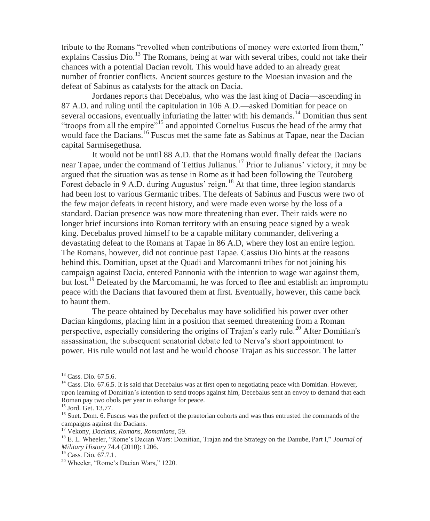tribute to the Romans "revolted when contributions of money were extorted from them," explains Cassius Dio.<sup>13</sup> The Romans, being at war with several tribes, could not take their chances with a potential Dacian revolt. This would have added to an already great number of frontier conflicts. Ancient sources gesture to the Moesian invasion and the defeat of Sabinus as catalysts for the attack on Dacia.

Jordanes reports that Decebalus, who was the last king of Dacia—ascending in 87 A.D. and ruling until the capitulation in 106 A.D.—asked Domitian for peace on several occasions, eventually infuriating the latter with his demands.<sup>14</sup> Domitian thus sent "troops from all the empire"<sup>15</sup> and appointed Cornelius Fuscus the head of the army that would face the Dacians.<sup>16</sup> Fuscus met the same fate as Sabinus at Tapae, near the Dacian capital Sarmisegethusa.

It would not be until 88 A.D. that the Romans would finally defeat the Dacians near Tapae, under the command of Tettius Julianus.<sup>17</sup> Prior to Julianus' victory, it may be argued that the situation was as tense in Rome as it had been following the Teutoberg Forest debacle in 9 A.D. during Augustus' reign.<sup>18</sup> At that time, three legion standards had been lost to various Germanic tribes. The defeats of Sabinus and Fuscus were two of the few major defeats in recent history, and were made even worse by the loss of a standard. Dacian presence was now more threatening than ever. Their raids were no longer brief incursions into Roman territory with an ensuing peace signed by a weak king. Decebalus proved himself to be a capable military commander, delivering a devastating defeat to the Romans at Tapae in 86 A.D, where they lost an entire legion. The Romans, however, did not continue past Tapae. Cassius Dio hints at the reasons behind this. Domitian, upset at the Quadi and Marcomanni tribes for not joining his campaign against Dacia, entered Pannonia with the intention to wage war against them, but lost.<sup>19</sup> Defeated by the Marcomanni, he was forced to flee and establish an impromptu peace with the Dacians that favoured them at first. Eventually, however, this came back to haunt them.

The peace obtained by Decebalus may have solidified his power over other Dacian kingdoms, placing him in a position that seemed threatening from a Roman perspective, especially considering the origins of Trajan's early rule.<sup>20</sup> After Domitian's assassination, the subsequent senatorial debate led to Nerva's short appointment to power. His rule would not last and he would choose Trajan as his successor. The latter

<sup>17</sup> Vekony, *Dacians, Romans, Romanians*, 59.

<sup>&</sup>lt;sup>13</sup> Cass. Dio. 67.5.6.

<sup>&</sup>lt;sup>14</sup> Cass. Dio. 67.6.5. It is said that Decebalus was at first open to negotiating peace with Domitian. However, upon learning of Domitian's intention to send troops against him, Decebalus sent an envoy to demand that each Roman pay two obols per year in exhange for peace.

<sup>15</sup> Jord. Get. 13.77.

<sup>&</sup>lt;sup>16</sup> Suet. Dom. 6. Fuscus was the prefect of the praetorian cohorts and was thus entrusted the commands of the campaigns against the Dacians.

<sup>18</sup> E. L. Wheeler, "Rome's Dacian Wars: Domitian, Trajan and the Strategy on the Danube, Part I," *Journal of Military History* 74.4 (2010): 1206.

<sup>19</sup> Cass. Dio. 67.7.1.

<sup>20</sup> Wheeler, "Rome's Dacian Wars," 1220.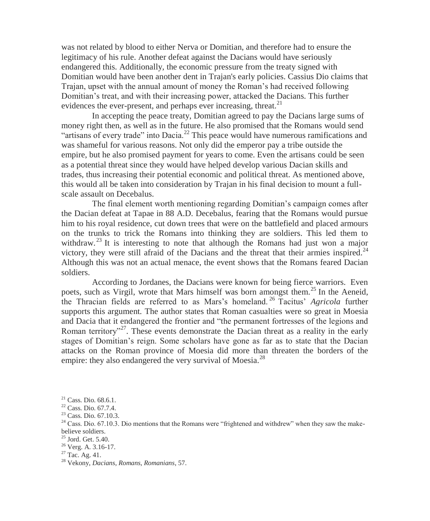was not related by blood to either Nerva or Domitian, and therefore had to ensure the legitimacy of his rule. Another defeat against the Dacians would have seriously endangered this. Additionally, the economic pressure from the treaty signed with Domitian would have been another dent in Trajan's early policies. Cassius Dio claims that Trajan, upset with the annual amount of money the Roman's had received following Domitian's treat, and with their increasing power, attacked the Dacians. This further evidences the ever-present, and perhaps ever increasing, threat.<sup>21</sup>

In accepting the peace treaty, Domitian agreed to pay the Dacians large sums of money right then, as well as in the future. He also promised that the Romans would send "artisans of every trade" into Dacia.<sup>22</sup> This peace would have numerous ramifications and was shameful for various reasons. Not only did the emperor pay a tribe outside the empire, but he also promised payment for years to come. Even the artisans could be seen as a potential threat since they would have helped develop various Dacian skills and trades, thus increasing their potential economic and political threat. As mentioned above, this would all be taken into consideration by Trajan in his final decision to mount a fullscale assault on Decebalus.

The final element worth mentioning regarding Domitian's campaign comes after the Dacian defeat at Tapae in 88 A.D. Decebalus, fearing that the Romans would pursue him to his royal residence, cut down trees that were on the battlefield and placed armours on the trunks to trick the Romans into thinking they are soldiers. This led them to withdraw.<sup>23</sup> It is interesting to note that although the Romans had just won a major victory, they were still afraid of the Dacians and the threat that their armies inspired.<sup>24</sup> Although this was not an actual menace, the event shows that the Romans feared Dacian soldiers.

According to Jordanes, the Dacians were known for being fierce warriors. Even poets, such as Virgil, wrote that Mars himself was born amongst them.<sup>25</sup> In the Aeneid, the Thracian fields are referred to as Mars's homeland. <sup>26</sup> Tacitus' *Agricola* further supports this argument*.* The author states that Roman casualties were so great in Moesia and Dacia that it endangered the frontier and "the permanent fortresses of the legions and Roman territory<sup>27</sup>. These events demonstrate the Dacian threat as a reality in the early stages of Domitian's reign. Some scholars have gone as far as to state that the Dacian attacks on the Roman province of Moesia did more than threaten the borders of the empire: they also endangered the very survival of Moesia.<sup>28</sup>

<sup>21</sup> Cass. Dio. 68.6.1.

<sup>22</sup> Cass. Dio. 67.7.4.

<sup>23</sup> Cass. Dio. 67.10.3.

<sup>&</sup>lt;sup>24</sup> Cass. Dio. 67.10.3. Dio mentions that the Romans were "frightened and withdrew" when they saw the makebelieve soldiers.

<sup>25</sup> Jord. Get. 5.40.

<sup>26</sup> Verg. A. 3.16-17.

 $27$  Tac. Ag. 41.

<sup>28</sup> Vekony, *Dacians, Romans, Romanians*, 57.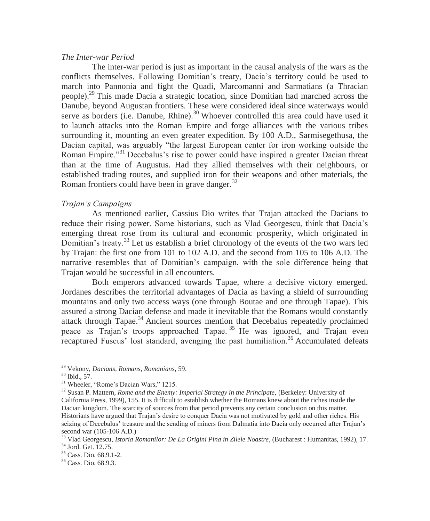### *The Inter-war Period*

The inter-war period is just as important in the causal analysis of the wars as the conflicts themselves. Following Domitian's treaty, Dacia's territory could be used to march into Pannonia and fight the Quadi, Marcomanni and Sarmatians (a Thracian people).<sup>29</sup> This made Dacia a strategic location, since Domitian had marched across the Danube, beyond Augustan frontiers. These were considered ideal since waterways would serve as borders (i.e. Danube, Rhine).<sup>30</sup> Whoever controlled this area could have used it to launch attacks into the Roman Empire and forge alliances with the various tribes surrounding it, mounting an even greater expedition. By 100 A.D., Sarmisegethusa, the Dacian capital, was arguably "the largest European center for iron working outside the Roman Empire."<sup>31</sup> Decebalus's rise to power could have inspired a greater Dacian threat than at the time of Augustus. Had they allied themselves with their neighbours, or established trading routes, and supplied iron for their weapons and other materials, the Roman frontiers could have been in grave danger. $32$ 

#### *Trajan's Campaigns*

As mentioned earlier, Cassius Dio writes that Trajan attacked the Dacians to reduce their rising power. Some historians, such as Vlad Georgescu, think that Dacia's emerging threat rose from its cultural and economic prosperity, which originated in Domitian's treaty.<sup>33</sup> Let us establish a brief chronology of the events of the two wars led by Trajan: the first one from 101 to 102 A.D. and the second from 105 to 106 A.D. The narrative resembles that of Domitian's campaign, with the sole difference being that Trajan would be successful in all encounters.

Both emperors advanced towards Tapae, where a decisive victory emerged. Jordanes describes the territorial advantages of Dacia as having a shield of surrounding mountains and only two access ways (one through Boutae and one through Tapae). This assured a strong Dacian defense and made it inevitable that the Romans would constantly attack through Tapae.<sup>34</sup> Ancient sources mention that Decebalus repeatedly proclaimed peace as Trajan's troops approached Tapae. <sup>35</sup> He was ignored, and Trajan even recaptured Fuscus' lost standard, avenging the past humiliation.<sup>36</sup> Accumulated defeats

<sup>29</sup> Vekony, *Dacians, Romans, Romanians*, 59.

 $30$  Ibid.,  $57$ .

<sup>&</sup>lt;sup>31</sup> Wheeler, "Rome's Dacian Wars," 1215.

<sup>&</sup>lt;sup>32</sup> Susan P. Mattern, *Rome and the Enemy: Imperial Strategy in the Principate*, (Berkeley: University of California Press, 1999), 155. It is difficult to establish whether the Romans knew about the riches inside the Dacian kingdom. The scarcity of sources from that period prevents any certain conclusion on this matter. Historians have argued that Trajan's desire to conquer Dacia was not motivated by gold and other riches. His seizing of Decebalus' treasure and the sending of miners from Dalmatia into Dacia only occurred after Trajan's second war (105-106 A.D.)

<sup>33</sup> Vlad Georgescu, *Istoria Romanilor: De La Origini Pina in Zilele Noastre*, (Bucharest : Humanitas, 1992), 17.

<sup>34</sup> Jord. Get. 12.75.

<sup>35</sup> Cass. Dio. 68.9.1-2.

<sup>36</sup> Cass. Dio. 68.9.3.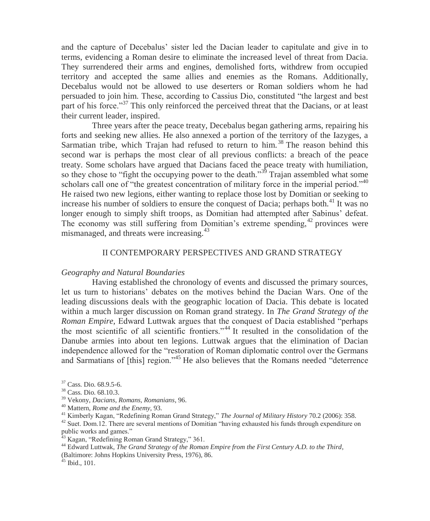and the capture of Decebalus' sister led the Dacian leader to capitulate and give in to terms, evidencing a Roman desire to eliminate the increased level of threat from Dacia. They surrendered their arms and engines, demolished forts, withdrew from occupied territory and accepted the same allies and enemies as the Romans. Additionally, Decebalus would not be allowed to use deserters or Roman soldiers whom he had persuaded to join him. These, according to Cassius Dio, constituted "the largest and best part of his force."<sup>37</sup> This only reinforced the perceived threat that the Dacians, or at least their current leader, inspired.

Three years after the peace treaty, Decebalus began gathering arms, repairing his forts and seeking new allies. He also annexed a portion of the territory of the Iazyges, a Sarmatian tribe, which Trajan had refused to return to him.<sup>38</sup> The reason behind this second war is perhaps the most clear of all previous conflicts: a breach of the peace treaty. Some scholars have argued that Dacians faced the peace treaty with humiliation, so they chose to "fight the occupying power to the death."<sup>39</sup> Trajan assembled what some scholars call one of "the greatest concentration of military force in the imperial period."<sup>40</sup> He raised two new legions, either wanting to replace those lost by Domitian or seeking to increase his number of soldiers to ensure the conquest of Dacia; perhaps both.<sup>41</sup> It was no longer enough to simply shift troops, as Domitian had attempted after Sabinus' defeat. The economy was still suffering from Domitian's extreme spending,  $42$  provinces were mismanaged, and threats were increasing.<sup>43</sup>

#### II CONTEMPORARY PERSPECTIVES AND GRAND STRATEGY

### *Geography and Natural Boundaries*

Having established the chronology of events and discussed the primary sources, let us turn to historians' debates on the motives behind the Dacian Wars. One of the leading discussions deals with the geographic location of Dacia. This debate is located within a much larger discussion on Roman grand strategy. In *The Grand Strategy of the Roman Empire,* Edward Luttwak argues that the conquest of Dacia established "perhaps the most scientific of all scientific frontiers."<sup>44</sup> It resulted in the consolidation of the Danube armies into about ten legions. Luttwak argues that the elimination of Dacian independence allowed for the "restoration of Roman diplomatic control over the Germans and Sarmatians of [this] region."<sup>45</sup> He also believes that the Romans needed "deterrence"

<sup>42</sup> Suet. Dom.12. There are several mentions of Domitian "having exhausted his funds through expenditure on public works and games."

<sup>44</sup> Edward Luttwak, *The Grand Strategy of the Roman Empire from the First Century A.D. to the Third*, (Baltimore: Johns Hopkins University Press, 1976), 86.

 $45$  Ibid., 101.

<sup>37</sup> Cass. Dio. 68.9.5-6.

<sup>38</sup> Cass. Dio. 68.10.3.

<sup>39</sup> Vekony, *Dacians, Romans, Romanians*, 96.

<sup>40</sup> Mattern, *Rome and the Enemy,* 93.

<sup>41</sup> Kimberly Kagan, "Redefining Roman Grand Strategy," *The Journal of Military History* 70.2 (2006): 358.

Kagan, "Redefining Roman Grand Strategy," 361.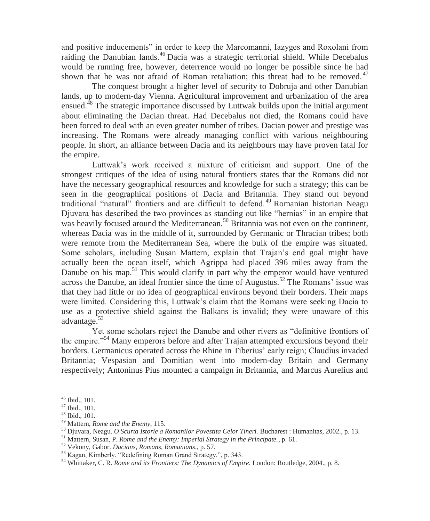and positive inducements" in order to keep the Marcomanni, Iazyges and Roxolani from raiding the Danubian lands.<sup>46</sup> Dacia was a strategic territorial shield. While Decebalus would be running free, however, deterrence would no longer be possible since he had shown that he was not afraid of Roman retaliation; this threat had to be removed.<sup>47</sup>

The conquest brought a higher level of security to Dobruja and other Danubian lands, up to modern-day Vienna. Agricultural improvement and urbanization of the area ensued.<sup> $48$ </sup> The strategic importance discussed by Luttwak builds upon the initial argument about eliminating the Dacian threat. Had Decebalus not died, the Romans could have been forced to deal with an even greater number of tribes. Dacian power and prestige was increasing. The Romans were already managing conflict with various neighbouring people. In short, an alliance between Dacia and its neighbours may have proven fatal for the empire.

Luttwak's work received a mixture of criticism and support. One of the strongest critiques of the idea of using natural frontiers states that the Romans did not have the necessary geographical resources and knowledge for such a strategy; this can be seen in the geographical positions of Dacia and Britannia. They stand out beyond traditional "natural" frontiers and are difficult to defend.<sup>49</sup> Romanian historian Neagu Djuvara has described the two provinces as standing out like "hernias" in an empire that was heavily focused around the Mediterranean.<sup>50</sup> Britannia was not even on the continent, whereas Dacia was in the middle of it, surrounded by Germanic or Thracian tribes; both were remote from the Mediterranean Sea, where the bulk of the empire was situated. Some scholars, including Susan Mattern, explain that Trajan's end goal might have actually been the ocean itself, which Agrippa had placed 396 miles away from the Danube on his map.<sup>51</sup> This would clarify in part why the emperor would have ventured across the Danube, an ideal frontier since the time of Augustus.<sup>52</sup> The Romans' issue was that they had little or no idea of geographical environs beyond their borders. Their maps were limited. Considering this, Luttwak's claim that the Romans were seeking Dacia to use as a protective shield against the Balkans is invalid; they were unaware of this advantage.<sup>53</sup>

Yet some scholars reject the Danube and other rivers as "definitive frontiers of the empire."<sup>54</sup> Many emperors before and after Trajan attempted excursions beyond their borders. Germanicus operated across the Rhine in Tiberius' early reign; Claudius invaded Britannia; Vespasian and Domitian went into modern-day Britain and Germany respectively; Antoninus Pius mounted a campaign in Britannia, and Marcus Aurelius and

<sup>46</sup> Ibid., 101.

<sup>47</sup> Ibid., 101.

<sup>48</sup> Ibid., 101.

<sup>49</sup> Mattern, *Rome and the Enemy*, 115.

<sup>50</sup> Djuvara, Neagu. *O Scurta Istorie a Romanilor Povestita Celor Tineri.* Bucharest : Humanitas, 2002., p. 13.

<sup>51</sup> Mattern, Susan, P. *Rome and the Enemy: Imperial Strategy in the Principate.*, p. 61.

<sup>52</sup> Vekony, Gabor. *Dacians, Romans, Romanians*., p. 57.

<sup>53</sup> Kagan, Kimberly. "Redefining Roman Grand Strategy.", p. 343.

<sup>54</sup> Whittaker, C. R. *Rome and its Frontiers: The Dynamics of Empire.* London: Routledge, 2004., p. 8.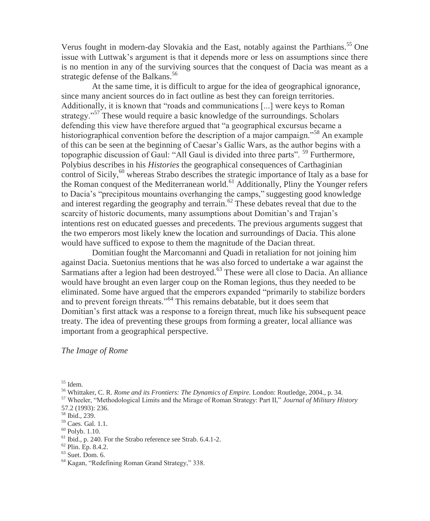Verus fought in modern-day Slovakia and the East, notably against the Parthians.<sup>55</sup> One issue with Luttwak's argument is that it depends more or less on assumptions since there is no mention in any of the surviving sources that the conquest of Dacia was meant as a strategic defense of the Balkans.<sup>56</sup>

At the same time, it is difficult to argue for the idea of geographical ignorance, since many ancient sources do in fact outline as best they can foreign territories. Additionally, it is known that "roads and communications [...] were keys to Roman strategy."<sup>57</sup> These would require a basic knowledge of the surroundings. Scholars defending this view have therefore argued that "a geographical excursus became a historiographical convention before the description of a major campaign."<sup>58</sup> An example of this can be seen at the beginning of Caesar's Gallic Wars, as the author begins with a topographic discussion of Gaul: "All Gaul is divided into three parts". <sup>59</sup> Furthermore, Polybius describes in his *Histories* the geographical consequences of Carthaginian control of Sicily,<sup>60</sup> whereas Strabo describes the strategic importance of Italy as a base for the Roman conquest of the Mediterranean world.<sup>61</sup> Additionally, Pliny the Younger refers to Dacia's "precipitous mountains overhanging the camps," suggesting good knowledge and interest regarding the geography and terrain.<sup>62</sup> These debates reveal that due to the scarcity of historic documents, many assumptions about Domitian's and Trajan's intentions rest on educated guesses and precedents. The previous arguments suggest that the two emperors most likely knew the location and surroundings of Dacia. This alone would have sufficed to expose to them the magnitude of the Dacian threat.

Domitian fought the Marcomanni and Quadi in retaliation for not joining him against Dacia. Suetonius mentions that he was also forced to undertake a war against the Sarmatians after a legion had been destroyed.<sup>63</sup> These were all close to Dacia. An alliance would have brought an even larger coup on the Roman legions, thus they needed to be eliminated. Some have argued that the emperors expanded "primarily to stabilize borders and to prevent foreign threats."<sup>64</sup> This remains debatable, but it does seem that Domitian's first attack was a response to a foreign threat, much like his subsequent peace treaty. The idea of preventing these groups from forming a greater, local alliance was important from a geographical perspective.

# *The Image of Rome*

<sup>55</sup> Idem.

<sup>57</sup> Wheeler, "Methodological Limits and the Mirage of Roman Strategy: Part II," *Journal of Military History*  57.2 (1993): 236.

 $60$  Polyb. 1.10.

- $62$  Plin. Ep. 8.4.2.
- $63$  Suet. Dom. 6.

<sup>56</sup> Whittaker, C. R. *Rome and its Frontiers: The Dynamics of Empire.* London: Routledge, 2004., p. 34.

<sup>58</sup> Ibid., 239.

<sup>59</sup> Caes. Gal. 1.1.

<sup>61</sup> Ibid., p. 240. For the Strabo reference see Strab. 6.4.1-2.

<sup>64</sup> Kagan, "Redefining Roman Grand Strategy," 338.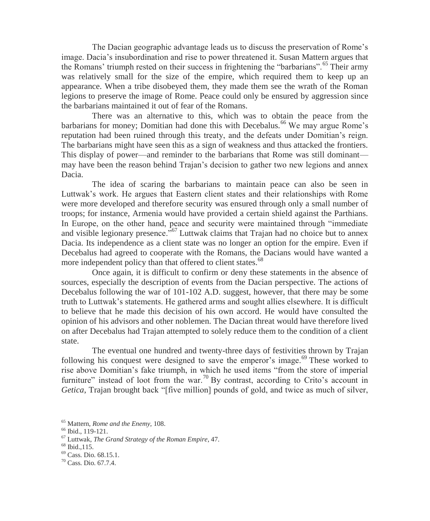The Dacian geographic advantage leads us to discuss the preservation of Rome's image. Dacia's insubordination and rise to power threatened it. Susan Mattern argues that the Romans' triumph rested on their success in frightening the "barbarians".<sup>65</sup> Their army was relatively small for the size of the empire, which required them to keep up an appearance. When a tribe disobeyed them, they made them see the wrath of the Roman legions to preserve the image of Rome. Peace could only be ensured by aggression since the barbarians maintained it out of fear of the Romans.

There was an alternative to this, which was to obtain the peace from the barbarians for money; Domitian had done this with Decebalus.<sup>66</sup> We may argue Rome's reputation had been ruined through this treaty, and the defeats under Domitian's reign. The barbarians might have seen this as a sign of weakness and thus attacked the frontiers. This display of power—and reminder to the barbarians that Rome was still dominant may have been the reason behind Trajan's decision to gather two new legions and annex Dacia.

The idea of scaring the barbarians to maintain peace can also be seen in Luttwak's work. He argues that Eastern client states and their relationships with Rome were more developed and therefore security was ensured through only a small number of troops; for instance, Armenia would have provided a certain shield against the Parthians. In Europe, on the other hand, peace and security were maintained through "immediate and visible legionary presence.<sup>567</sup> Luttwak claims that Trajan had no choice but to annex Dacia. Its independence as a client state was no longer an option for the empire. Even if Decebalus had agreed to cooperate with the Romans, the Dacians would have wanted a more independent policy than that offered to client states.<sup>68</sup>

Once again, it is difficult to confirm or deny these statements in the absence of sources, especially the description of events from the Dacian perspective. The actions of Decebalus following the war of 101-102 A.D. suggest, however, that there may be some truth to Luttwak's statements. He gathered arms and sought allies elsewhere. It is difficult to believe that he made this decision of his own accord. He would have consulted the opinion of his advisors and other noblemen. The Dacian threat would have therefore lived on after Decebalus had Trajan attempted to solely reduce them to the condition of a client state.

The eventual one hundred and twenty-three days of festivities thrown by Trajan following his conquest were designed to save the emperor's image.<sup>69</sup> These worked to rise above Domitian's fake triumph, in which he used items "from the store of imperial furniture" instead of loot from the war.<sup>70</sup> By contrast, according to Crito's account in *Getica*, Trajan brought back "[five million] pounds of gold, and twice as much of silver,

<sup>65</sup> Mattern, *Rome and the Enemy,* 108.

<sup>66</sup> Ibid., 119-121.

<sup>67</sup> Luttwak, *The Grand Strategy of the Roman Empire*, 47.

<sup>68</sup> Ibid.,115.

<sup>69</sup> Cass. Dio. 68.15.1.

<sup>70</sup> Cass. Dio. 67.7.4.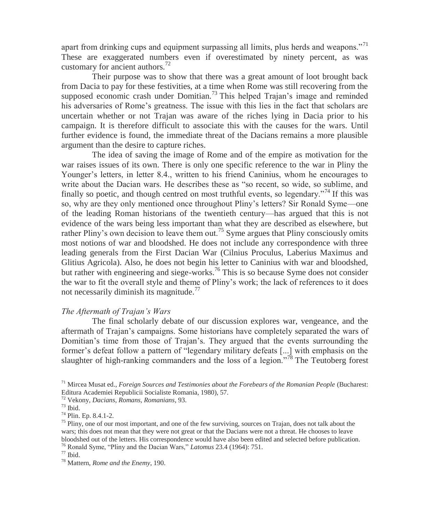apart from drinking cups and equipment surpassing all limits, plus herds and weapons."<sup>71</sup> These are exaggerated numbers even if overestimated by ninety percent, as was customary for ancient authors.<sup>72</sup>

Their purpose was to show that there was a great amount of loot brought back from Dacia to pay for these festivities, at a time when Rome was still recovering from the supposed economic crash under Domitian.<sup>73</sup> This helped Trajan's image and reminded his adversaries of Rome's greatness. The issue with this lies in the fact that scholars are uncertain whether or not Trajan was aware of the riches lying in Dacia prior to his campaign. It is therefore difficult to associate this with the causes for the wars. Until further evidence is found, the immediate threat of the Dacians remains a more plausible argument than the desire to capture riches.

The idea of saving the image of Rome and of the empire as motivation for the war raises issues of its own. There is only one specific reference to the war in Pliny the Younger's letters, in letter 8.4., written to his friend Caninius, whom he encourages to write about the Dacian wars. He describes these as "so recent, so wide, so sublime, and finally so poetic, and though centred on most truthful events, so legendary.<sup> $74$ </sup> If this was so, why are they only mentioned once throughout Pliny's letters? Sir Ronald Syme—one of the leading Roman historians of the twentieth century—has argued that this is not evidence of the wars being less important than what they are described as elsewhere, but rather Pliny's own decision to leave them out.<sup>75</sup> Syme argues that Pliny consciously omits most notions of war and bloodshed. He does not include any correspondence with three leading generals from the First Dacian War (Cilnius Proculus, Laberius Maximus and Glitius Agricola). Also, he does not begin his letter to Caninius with war and bloodshed, but rather with engineering and siege-works.<sup>76</sup> This is so because Syme does not consider the war to fit the overall style and theme of Pliny's work; the lack of references to it does not necessarily diminish its magnitude.<sup>77</sup>

#### *The Aftermath of Trajan's Wars*

The final scholarly debate of our discussion explores war, vengeance, and the aftermath of Trajan's campaigns. Some historians have completely separated the wars of Domitian's time from those of Trajan's. They argued that the events surrounding the former's defeat follow a pattern of "legendary military defeats [...] with emphasis on the slaughter of high-ranking commanders and the loss of a legion.<sup>78</sup> The Teutoberg forest

<sup>71</sup> Mircea Musat ed., *Foreign Sources and Testimonies about the Forebears of the Romanian People* (Bucharest: Editura Academiei Republicii Socialiste Romania, 1980), 57.

<sup>72</sup> Vekony, *Dacians, Romans, Romanians*, 93.

<sup>73</sup> Ibid.

<sup>74</sup> Plin. Ep. 8.4.1-2.

<sup>&</sup>lt;sup>75</sup> Pliny, one of our most important, and one of the few surviving, sources on Trajan, does not talk about the wars; this does not mean that they were not great or that the Dacians were not a threat. He chooses to leave bloodshed out of the letters. His correspondence would have also been edited and selected before publication.

<sup>76</sup> Ronald Syme, "Pliny and the Dacian Wars," *Latomus* 23.4 (1964): 751.

 $77$  Ibid.

<sup>78</sup> Mattern, *Rome and the Enemy*, 190.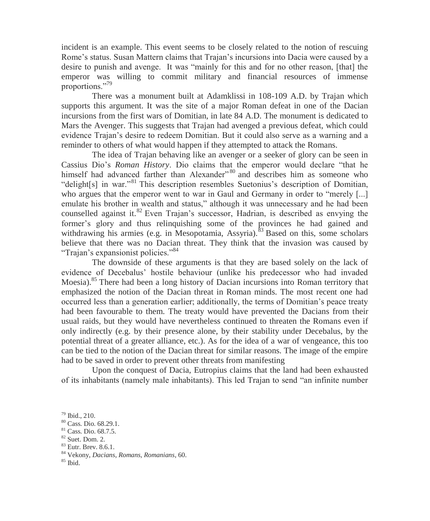incident is an example. This event seems to be closely related to the notion of rescuing Rome's status. Susan Mattern claims that Trajan's incursions into Dacia were caused by a desire to punish and avenge. It was "mainly for this and for no other reason, [that] the emperor was willing to commit military and financial resources of immense proportions."<sup>79</sup>

There was a monument built at Adamklissi in 108-109 A.D. by Trajan which supports this argument. It was the site of a major Roman defeat in one of the Dacian incursions from the first wars of Domitian, in late 84 A.D. The monument is dedicated to Mars the Avenger. This suggests that Trajan had avenged a previous defeat, which could evidence Trajan's desire to redeem Domitian. But it could also serve as a warning and a reminder to others of what would happen if they attempted to attack the Romans.

The idea of Trajan behaving like an avenger or a seeker of glory can be seen in Cassius Dio's *Roman History*. Dio claims that the emperor would declare "that he himself had advanced farther than Alexander"<sup>80</sup> and describes him as someone who "delight[s] in war."<sup>81</sup> This description resembles Suetonius's description of Domitian, who argues that the emperor went to war in Gaul and Germany in order to "merely [...] emulate his brother in wealth and status," although it was unnecessary and he had been counselled against it. $82$  Even Trajan's successor, Hadrian, is described as envying the former's glory and thus relinquishing some of the provinces he had gained and withdrawing his armies (e.g. in Mesopotamia, Assyria).<sup>83</sup> Based on this, some scholars believe that there was no Dacian threat. They think that the invasion was caused by "Trajan's expansionist policies."<sup>84</sup>

The downside of these arguments is that they are based solely on the lack of evidence of Decebalus' hostile behaviour (unlike his predecessor who had invaded Moesia).<sup>85</sup> There had been a long history of Dacian incursions into Roman territory that emphasized the notion of the Dacian threat in Roman minds. The most recent one had occurred less than a generation earlier; additionally, the terms of Domitian's peace treaty had been favourable to them. The treaty would have prevented the Dacians from their usual raids, but they would have nevertheless continued to threaten the Romans even if only indirectly (e.g. by their presence alone, by their stability under Decebalus, by the potential threat of a greater alliance, etc.). As for the idea of a war of vengeance, this too can be tied to the notion of the Dacian threat for similar reasons. The image of the empire had to be saved in order to prevent other threats from manifesting

Upon the conquest of Dacia, Eutropius claims that the land had been exhausted of its inhabitants (namely male inhabitants). This led Trajan to send "an infinite number

 $85$  Ibid.

<sup>79</sup> Ibid., 210.

<sup>80</sup> Cass. Dio. 68.29.1.

<sup>81</sup> Cass. Dio. 68.7.5.

<sup>82</sup> Suet. Dom. 2.

<sup>83</sup> Eutr. Brev. 8.6.1.

<sup>84</sup> Vekony, *Dacians, Romans, Romanians*, 60.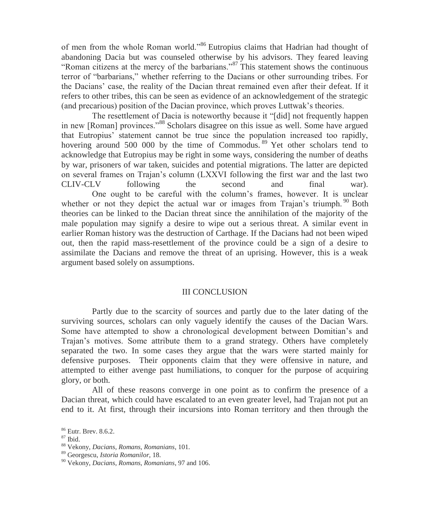of men from the whole Roman world."<sup>86</sup> Eutropius claims that Hadrian had thought of abandoning Dacia but was counseled otherwise by his advisors. They feared leaving "Roman citizens at the mercy of the barbarians."<sup>87</sup> This statement shows the continuous terror of "barbarians," whether referring to the Dacians or other surrounding tribes. For the Dacians' case, the reality of the Dacian threat remained even after their defeat. If it refers to other tribes, this can be seen as evidence of an acknowledgement of the strategic (and precarious) position of the Dacian province, which proves Luttwak's theories.

The resettlement of Dacia is noteworthy because it "[did] not frequently happen in new [Roman] provinces."<sup>88</sup> Scholars disagree on this issue as well. Some have argued that Eutropius' statement cannot be true since the population increased too rapidly, hovering around 500 000 by the time of Commodus.<sup>89</sup> Yet other scholars tend to acknowledge that Eutropius may be right in some ways, considering the number of deaths by war, prisoners of war taken, suicides and potential migrations. The latter are depicted on several frames on Trajan's column (LXXVI following the first war and the last two CLIV-CLV following the second and final war). One ought to be careful with the column's frames, however. It is unclear whether or not they depict the actual war or images from Trajan's triumph.  $90$  Both theories can be linked to the Dacian threat since the annihilation of the majority of the male population may signify a desire to wipe out a serious threat. A similar event in earlier Roman history was the destruction of Carthage. If the Dacians had not been wiped out, then the rapid mass-resettlement of the province could be a sign of a desire to assimilate the Dacians and remove the threat of an uprising. However, this is a weak argument based solely on assumptions.

# III CONCLUSION

Partly due to the scarcity of sources and partly due to the later dating of the surviving sources, scholars can only vaguely identify the causes of the Dacian Wars. Some have attempted to show a chronological development between Domitian's and Trajan's motives. Some attribute them to a grand strategy. Others have completely separated the two. In some cases they argue that the wars were started mainly for defensive purposes. Their opponents claim that they were offensive in nature, and attempted to either avenge past humiliations, to conquer for the purpose of acquiring glory, or both.

All of these reasons converge in one point as to confirm the presence of a Dacian threat, which could have escalated to an even greater level, had Trajan not put an end to it. At first, through their incursions into Roman territory and then through the

<sup>87</sup> Ibid.

<sup>86</sup> Eutr. Brev. 8.6.2.

<sup>88</sup> Vekony, *Dacians, Romans, Romanians*, 101.

<sup>89</sup> Georgescu, *Istoria Romanilor,* 18.

<sup>90</sup> Vekony, *Dacians, Romans, Romanians*, 97 and 106.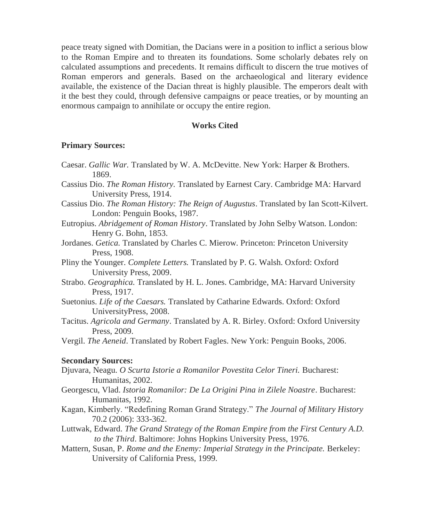peace treaty signed with Domitian, the Dacians were in a position to inflict a serious blow to the Roman Empire and to threaten its foundations. Some scholarly debates rely on calculated assumptions and precedents. It remains difficult to discern the true motives of Roman emperors and generals. Based on the archaeological and literary evidence available, the existence of the Dacian threat is highly plausible. The emperors dealt with it the best they could, through defensive campaigns or peace treaties, or by mounting an enormous campaign to annihilate or occupy the entire region.

#### **Works Cited**

#### **Primary Sources:**

| Caesar. Gallic War. Translated by W. A. McDevitte. New York: Harper & Brothers.<br>1869.                                |
|-------------------------------------------------------------------------------------------------------------------------|
| Cassius Dio. The Roman History. Translated by Earnest Cary. Cambridge MA: Harvard<br>University Press, 1914.            |
| Cassius Dio. The Roman History: The Reign of Augustus. Translated by Ian Scott-Kilvert.<br>London: Penguin Books, 1987. |
| Eutropius. Abridgement of Roman History. Translated by John Selby Watson. London:<br>Henry G. Bohn, 1853.               |
| Jordanes. Getica. Translated by Charles C. Mierow. Princeton: Princeton University<br>Press, 1908.                      |
| Pliny the Younger. Complete Letters. Translated by P. G. Walsh. Oxford: Oxford<br>University Press, 2009.               |
| Strabo. Geographica. Translated by H. L. Jones. Cambridge, MA: Harvard University<br>Press, 1917.                       |
| Suetonius. Life of the Caesars. Translated by Catharine Edwards. Oxford: Oxford<br>UniversityPress, 2008.               |
| Tacitus. Agricola and Germany. Translated by A. R. Birley. Oxford: Oxford University<br>Press, 2009.                    |
| Vergil. The Aeneid. Translated by Robert Fagles. New York: Penguin Books, 2006.                                         |
| <b>Secondary Sources:</b>                                                                                               |
| Djuvara, Neagu. O Scurta Istorie a Romanilor Povestita Celor Tineri. Bucharest:<br>Humanitas, 2002.                     |
| Georgescu, Vlad. Istoria Romanilor: De La Origini Pina in Zilele Noastre. Bucharest:<br>Humanitas, 1992.                |
| Kagan, Kimberly. "Redefining Roman Grand Strategy." The Journal of Military History<br>70.2 (2006): 333-362.            |

- Luttwak, Edward. *The Grand Strategy of the Roman Empire from the First Century A.D. to the Third*. Baltimore: Johns Hopkins University Press, 1976.
- Mattern, Susan, P. *Rome and the Enemy: Imperial Strategy in the Principate.* Berkeley: University of California Press, 1999.